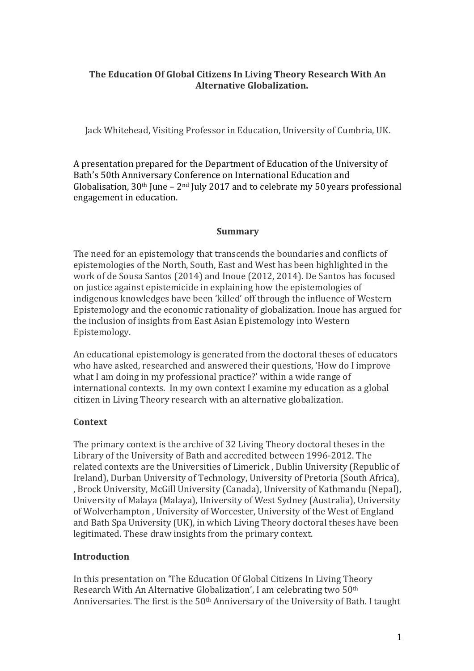# The Education Of Global Citizens In Living Theory Research With An **Alternative Globalization.**

Jack Whitehead, Visiting Professor in Education, University of Cumbria, UK.

A presentation prepared for the Department of Education of the University of Bath's 50th Anniversary Conference on International Education and Globalisation,  $30<sup>th</sup>$  June –  $2<sup>nd</sup>$  July 2017 and to celebrate my 50 years professional engagement in education.

### **Summary**

The need for an epistemology that transcends the boundaries and conflicts of epistemologies of the North, South, East and West has been highlighted in the work of de Sousa Santos (2014) and Inoue (2012, 2014). De Santos has focused on justice against epistemicide in explaining how the epistemologies of indigenous knowledges have been 'killed' off through the influence of Western Epistemology and the economic rationality of globalization. Inoue has argued for the inclusion of insights from East Asian Epistemology into Western Epistemology. 

An educational epistemology is generated from the doctoral theses of educators who have asked, researched and answered their questions, 'How do I improve what I am doing in my professional practice?' within a wide range of international contexts. In my own context I examine my education as a global citizen in Living Theory research with an alternative globalization.

### **Context**

The primary context is the archive of 32 Living Theory doctoral theses in the Library of the University of Bath and accredited between 1996-2012. The related contexts are the Universities of Limerick . Dublin University (Republic of Ireland), Durban University of Technology, University of Pretoria (South Africa), , Brock University, McGill University (Canada), University of Kathmandu (Nepal), University of Malaya (Malaya), University of West Sydney (Australia), University of Wolverhampton, University of Worcester, University of the West of England and Bath Spa University (UK), in which Living Theory doctoral theses have been legitimated. These draw insights from the primary context.

# **Introduction**

In this presentation on 'The Education Of Global Citizens In Living Theory Research With An Alternative Globalization', I am celebrating two 50<sup>th</sup> Anniversaries. The first is the 50<sup>th</sup> Anniversary of the University of Bath. I taught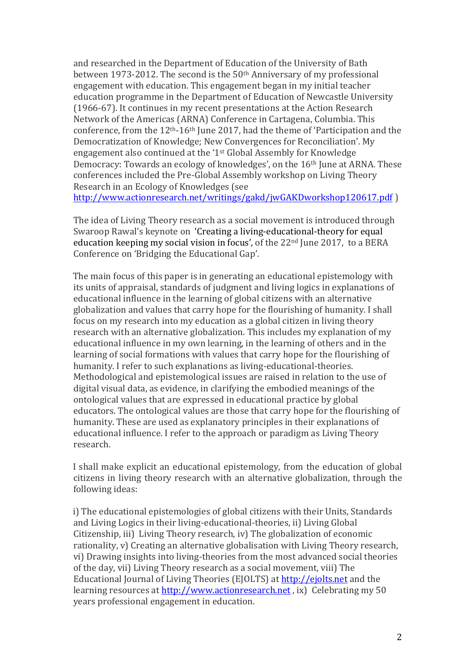and researched in the Department of Education of the University of Bath between 1973-2012. The second is the  $50<sup>th</sup>$  Anniversary of my professional engagement with education. This engagement began in my initial teacher education programme in the Department of Education of Newcastle University (1966-67). It continues in my recent presentations at the Action Research Network of the Americas (ARNA) Conference in Cartagena, Columbia. This conference, from the  $12<sup>th</sup>-16<sup>th</sup>$  June 2017, had the theme of 'Participation and the Democratization of Knowledge; New Convergences for Reconciliation'. My engagement also continued at the '1<sup>st</sup> Global Assembly for Knowledge Democracy: Towards an ecology of knowledges', on the  $16<sup>th</sup>$  June at ARNA. These conferences included the Pre-Global Assembly workshop on Living Theory Research in an Ecology of Knowledges (see

http://www.actionresearch.net/writings/gakd/jwGAKDworkshop120617.pdf )

The idea of Living Theory research as a social movement is introduced through Swaroop Rawal's keynote on 'Creating a living-educational-theory for equal education keeping my social vision in focus', of the  $22<sup>nd</sup>$  June  $2017$ , to a BERA Conference on 'Bridging the Educational Gap'.

The main focus of this paper is in generating an educational epistemology with its units of appraisal, standards of judgment and living logics in explanations of educational influence in the learning of global citizens with an alternative globalization and values that carry hope for the flourishing of humanity. I shall focus on my research into my education as a global citizen in living theory research with an alternative globalization. This includes my explanation of my educational influence in my own learning, in the learning of others and in the learning of social formations with values that carry hope for the flourishing of humanity. I refer to such explanations as living-educational-theories. Methodological and epistemological issues are raised in relation to the use of digital visual data, as evidence, in clarifying the embodied meanings of the ontological values that are expressed in educational practice by global educators. The ontological values are those that carry hope for the flourishing of humanity. These are used as explanatory principles in their explanations of educational influence. I refer to the approach or paradigm as Living Theory research.

I shall make explicit an educational epistemology, from the education of global citizens in living theory research with an alternative globalization, through the following ideas:

i) The educational epistemologies of global citizens with their Units, Standards and Living Logics in their living-educational-theories, ii) Living Global Citizenship, iii) Living Theory research, iv) The globalization of economic rationality, y) Creating an alternative globalisation with Living Theory research, vi) Drawing insights into living-theories from the most advanced social theories of the day, vii) Living Theory research as a social movement, viii) The Educational Journal of Living Theories (EJOLTS) at http://ejolts.net and the learning resources at http://www.actionresearch.net , ix) Celebrating my 50 years professional engagement in education.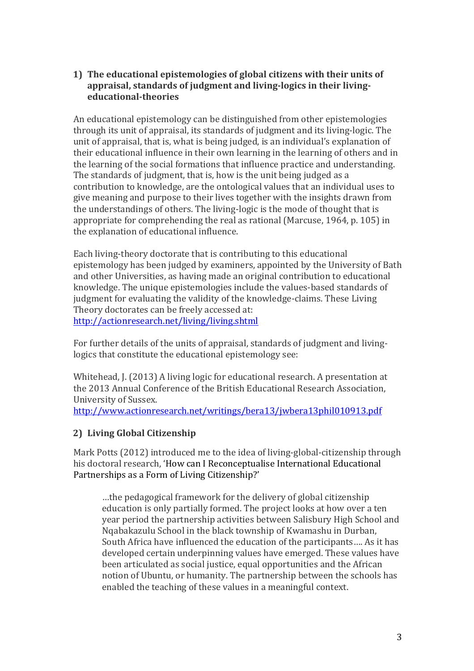## **1)** The educational epistemologies of global citizens with their units of appraisal, standards of judgment and living-logics in their living**educational-theories**

An educational epistemology can be distinguished from other epistemologies through its unit of appraisal, its standards of judgment and its living-logic. The unit of appraisal, that is, what is being judged, is an individual's explanation of their educational influence in their own learning in the learning of others and in the learning of the social formations that influence practice and understanding. The standards of judgment, that is, how is the unit being judged as a contribution to knowledge, are the ontological values that an individual uses to give meaning and purpose to their lives together with the insights drawn from the understandings of others. The living-logic is the mode of thought that is appropriate for comprehending the real as rational (Marcuse, 1964, p. 105) in the explanation of educational influence.

Each living-theory doctorate that is contributing to this educational epistemology has been judged by examiners, appointed by the University of Bath and other Universities, as having made an original contribution to educational knowledge. The unique epistemologies include the values-based standards of judgment for evaluating the validity of the knowledge-claims. These Living Theory doctorates can be freely accessed at: http://actionresearch.net/living/living.shtml

For further details of the units of appraisal, standards of judgment and livinglogics that constitute the educational epistemology see:

Whitehead, J. (2013) A living logic for educational research. A presentation at the 2013 Annual Conference of the British Educational Research Association, University of Sussex.

http://www.actionresearch.net/writings/bera13/jwbera13phil010913.pdf

# **2) Living Global Citizenship**

Mark Potts (2012) introduced me to the idea of living-global-citizenship through his doctoral research, 'How can I Reconceptualise International Educational Partnerships as a Form of Living Citizenship?'

...the pedagogical framework for the delivery of global citizenship education is only partially formed. The project looks at how over a ten year period the partnership activities between Salisbury High School and Nqabakazulu School in the black township of Kwamashu in Durban, South Africa have influenced the education of the participants.... As it has developed certain underpinning values have emerged. These values have been articulated as social justice, equal opportunities and the African notion of Ubuntu, or humanity. The partnership between the schools has enabled the teaching of these values in a meaningful context.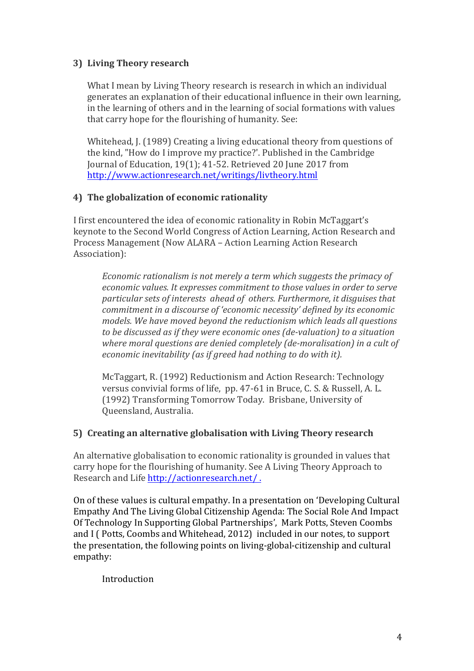# **3) Living Theory research**

What I mean by Living Theory research is research in which an individual generates an explanation of their educational influence in their own learning, in the learning of others and in the learning of social formations with values that carry hope for the flourishing of humanity. See:

Whitehead, J. (1989) Creating a living educational theory from questions of the kind, "How do I improve my practice?'. Published in the Cambridge Journal of Education, 19(1); 41-52. Retrieved 20 June 2017 from http://www.actionresearch.net/writings/livtheory.html

## **4)** The globalization of economic rationality

I first encountered the idea of economic rationality in Robin McTaggart's keynote to the Second World Congress of Action Learning, Action Research and Process Management (Now ALARA – Action Learning Action Research) Association):

*Economic rationalism is not merely a term which suggests the primacy of economic values. It expresses commitment to those values in order to serve particular sets of interests ahead of others. Furthermore, it disguises that commitment in a discourse of 'economic necessity' defined by its economic* models. We have moved beyond the reductionism which leads all questions *to be discussed as if they were economic ones (de-valuation)* to a situation where moral questions are denied completely (de-moralisation) in a cult of *economic inevitability (as if greed had nothing to do with it).* 

McTaggart, R. (1992) Reductionism and Action Research: Technology versus convivial forms of life, pp. 47-61 in Bruce, C. S. & Russell, A. L. (1992) Transforming Tomorrow Today. Brisbane, University of Queensland, Australia.

### **5)** Creating an alternative globalisation with Living Theory research

An alternative globalisation to economic rationality is grounded in values that carry hope for the flourishing of humanity. See A Living Theory Approach to Research and Life http://actionresearch.net/.

On of these values is cultural empathy. In a presentation on 'Developing Cultural Empathy And The Living Global Citizenship Agenda: The Social Role And Impact Of Technology In Supporting Global Partnerships', Mark Potts, Steven Coombs and I (Potts, Coombs and Whitehead, 2012) included in our notes, to support the presentation, the following points on living-global-citizenship and cultural empathy:

Introduction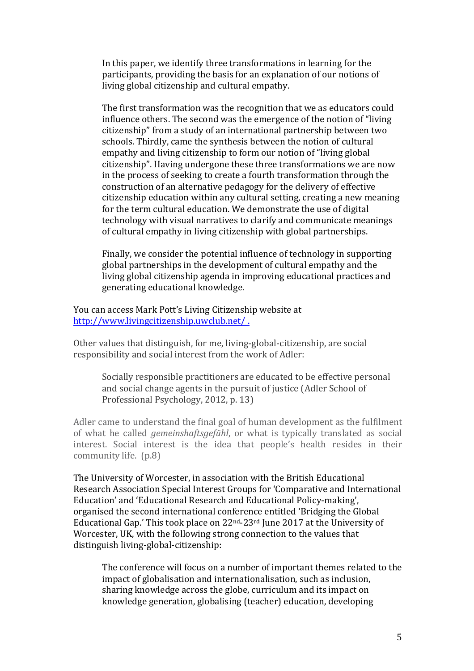In this paper, we identify three transformations in learning for the participants, providing the basis for an explanation of our notions of living global citizenship and cultural empathy.

The first transformation was the recognition that we as educators could influence others. The second was the emergence of the notion of "living" citizenship" from a study of an international partnership between two schools. Thirdly, came the synthesis between the notion of cultural empathy and living citizenship to form our notion of "living global" citizenship". Having undergone these three transformations we are now in the process of seeking to create a fourth transformation through the construction of an alternative pedagogy for the delivery of effective citizenship education within any cultural setting, creating a new meaning for the term cultural education. We demonstrate the use of digital technology with visual narratives to clarify and communicate meanings of cultural empathy in living citizenship with global partnerships.

Finally, we consider the potential influence of technology in supporting global partnerships in the development of cultural empathy and the living global citizenship agenda in improving educational practices and generating educational knowledge.

You can access Mark Pott's Living Citizenship website at http://www.livingcitizenship.uwclub.net/ .

Other values that distinguish, for me, living-global-citizenship, are social responsibility and social interest from the work of Adler:

Socially responsible practitioners are educated to be effective personal and social change agents in the pursuit of justice (Adler School of Professional Psychology, 2012, p. 13)

Adler came to understand the final goal of human development as the fulfilment of what he called *gemeinshaftsgefühl*, or what is typically translated as social interest. Social interest is the idea that people's health resides in their community life.  $(p.8)$ 

The University of Worcester, in association with the British Educational Research Association Special Interest Groups for 'Comparative and International Education' and 'Educational Research and Educational Policy-making', organised the second international conference entitled 'Bridging the Global Educational Gap.' This took place on  $22^{\text{nd}}$ -23<sup>rd</sup> June 2017 at the University of Worcester, UK, with the following strong connection to the values that distinguish living-global-citizenship:

The conference will focus on a number of important themes related to the impact of globalisation and internationalisation, such as inclusion, sharing knowledge across the globe, curriculum and its impact on knowledge generation, globalising (teacher) education, developing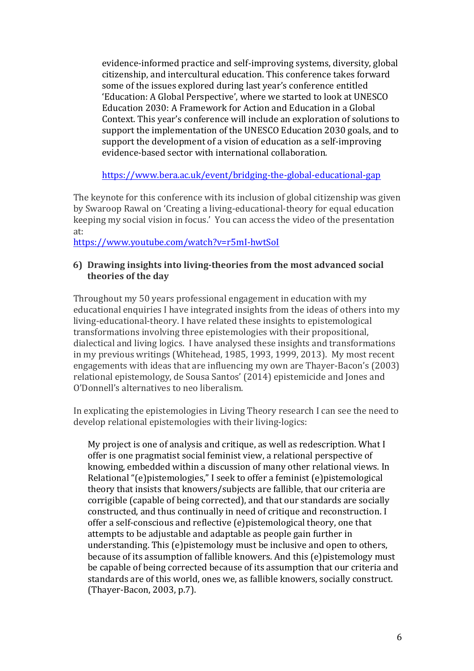evidence-informed practice and self-improving systems, diversity, global citizenship, and intercultural education. This conference takes forward some of the issues explored during last year's conference entitled 'Education: A Global Perspective', where we started to look at UNESCO Education 2030: A Framework for Action and Education in a Global Context. This year's conference will include an exploration of solutions to support the implementation of the UNESCO Education 2030 goals, and to support the development of a vision of education as a self-improving evidence-based sector with international collaboration.

https://www.bera.ac.uk/event/bridging-the-global-educational-gap

The keynote for this conference with its inclusion of global citizenship was given by Swaroop Rawal on 'Creating a living-educational-theory for equal education keeping my social vision in focus.' You can access the video of the presentation at:

https://www.youtube.com/watch?v=r5mI-hwtSoI

#### **6)** Drawing insights into living-theories from the most advanced social **theories of the day**

Throughout my 50 years professional engagement in education with my educational enquiries I have integrated insights from the ideas of others into my living-educational-theory. I have related these insights to epistemological transformations involving three epistemologies with their propositional, dialectical and living logics. I have analysed these insights and transformations in my previous writings (Whitehead, 1985, 1993, 1999, 2013). My most recent engagements with ideas that are influencing my own are Thayer-Bacon's (2003) relational epistemology, de Sousa Santos' (2014) epistemicide and Jones and O'Donnell's alternatives to neo liberalism.

In explicating the epistemologies in Living Theory research I can see the need to develop relational epistemologies with their living-logics:

My project is one of analysis and critique, as well as redescription. What I offer is one pragmatist social feminist view, a relational perspective of knowing, embedded within a discussion of many other relational views. In Relational "(e)pistemologies," I seek to offer a feminist (e)pistemological theory that insists that knowers/subjects are fallible, that our criteria are corrigible (capable of being corrected), and that our standards are socially constructed, and thus continually in need of critique and reconstruction. I offer a self-conscious and reflective (e)pistemological theory, one that attempts to be adjustable and adaptable as people gain further in understanding. This (e)pistemology must be inclusive and open to others, because of its assumption of fallible knowers. And this (e)pistemology must be capable of being corrected because of its assumption that our criteria and standards are of this world, ones we, as fallible knowers, socially construct. (Thayer-Bacon, 2003, p.7).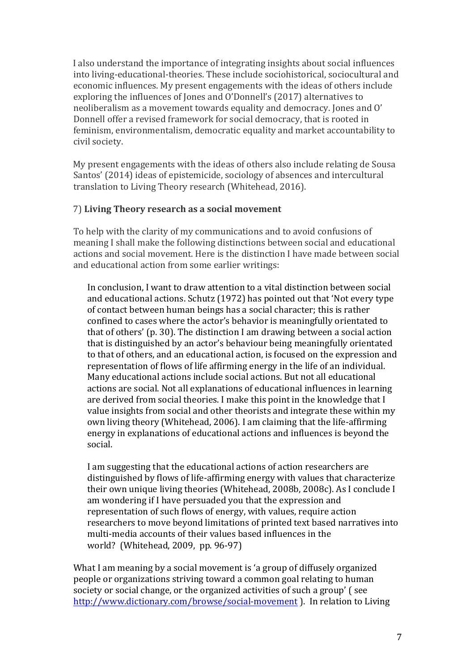I also understand the importance of integrating insights about social influences into living-educational-theories. These include sociohistorical, sociocultural and economic influences. My present engagements with the ideas of others include exploring the influences of Jones and O'Donnell's (2017) alternatives to neoliberalism as a movement towards equality and democracy. Jones and O' Donnell offer a revised framework for social democracy, that is rooted in feminism, environmentalism, democratic equality and market accountability to civil society.

My present engagements with the ideas of others also include relating de Sousa Santos' (2014) ideas of epistemicide, sociology of absences and intercultural translation to Living Theory research (Whitehead, 2016).

## 7) **Living Theory research as a social movement**

To help with the clarity of my communications and to avoid confusions of meaning I shall make the following distinctions between social and educational actions and social movement. Here is the distinction I have made between social and educational action from some earlier writings:

In conclusion, I want to draw attention to a vital distinction between social and educational actions. Schutz (1972) has pointed out that 'Not every type of contact between human beings has a social character; this is rather confined to cases where the actor's behavior is meaningfully orientated to that of others' (p. 30). The distinction I am drawing between a social action that is distinguished by an actor's behaviour being meaningfully orientated to that of others, and an educational action, is focused on the expression and representation of flows of life affirming energy in the life of an individual. Many educational actions include social actions. But not all educational actions are social. Not all explanations of educational influences in learning are derived from social theories. I make this point in the knowledge that I value insights from social and other theorists and integrate these within my own living theory (Whitehead, 2006). I am claiming that the life-affirming energy in explanations of educational actions and influences is beyond the social.

I am suggesting that the educational actions of action researchers are distinguished by flows of life-affirming energy with values that characterize their own unique living theories (Whitehead, 2008b, 2008c). As I conclude I am wondering if I have persuaded you that the expression and representation of such flows of energy, with values, require action researchers to move beyond limitations of printed text based narratives into multi-media accounts of their values based influences in the world? (Whitehead, 2009, pp. 96-97)

What I am meaning by a social movement is 'a group of diffusely organized people or organizations striving toward a common goal relating to human society or social change, or the organized activities of such a group' (see http://www.dictionary.com/browse/social-movement ). In relation to Living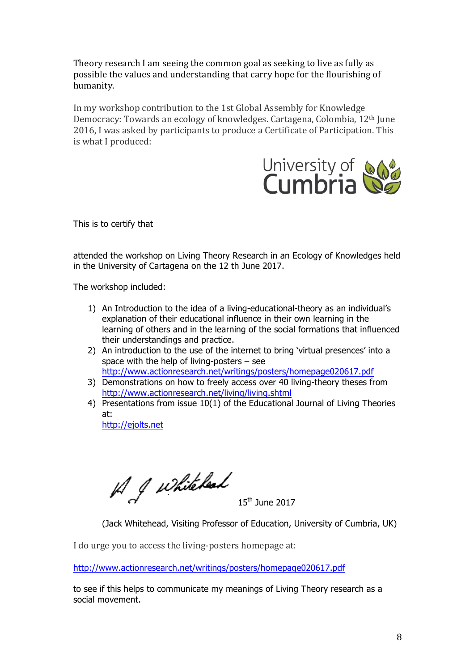Theory research I am seeing the common goal as seeking to live as fully as possible the values and understanding that carry hope for the flourishing of humanity.

In my workshop contribution to the 1st Global Assembly for Knowledge Democracy: Towards an ecology of knowledges. Cartagena, Colombia, 12<sup>th</sup> June 2016, I was asked by participants to produce a Certificate of Participation. This is what I produced:



This is to certify that

attended the workshop on Living Theory Research in an Ecology of Knowledges held in the University of Cartagena on the 12 th June 2017.

The workshop included:

- 1) An Introduction to the idea of a living-educational-theory as an individual's explanation of their educational influence in their own learning in the learning of others and in the learning of the social formations that influenced their understandings and practice.
- 2) An introduction to the use of the internet to bring 'virtual presences' into a space with the help of living-posters – see http://www.actionresearch.net/writings/posters/homepage020617.pdf
- 3) Demonstrations on how to freely access over 40 living-theory theses from http://www.actionresearch.net/living/living.shtml
- 4) Presentations from issue 10(1) of the Educational Journal of Living Theories at: http://ejolts.net

A J whitehead

15th June 2017

(Jack Whitehead, Visiting Professor of Education, University of Cumbria, UK)

I do urge you to access the living-posters homepage at:

http://www.actionresearch.net/writings/posters/homepage020617.pdf

to see if this helps to communicate my meanings of Living Theory research as a social movement.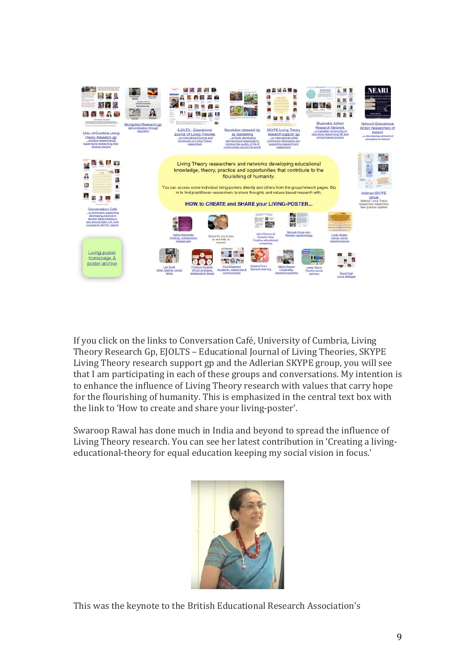

If you click on the links to Conversation Café, University of Cumbria, Living Theory Research Gp, EJOLTS - Educational Journal of Living Theories, SKYPE Living Theory research support gp and the Adlerian SKYPE group, you will see that I am participating in each of these groups and conversations. My intention is to enhance the influence of Living Theory research with values that carry hope for the flourishing of humanity. This is emphasized in the central text box with the link to 'How to create and share your living-poster'.

Swaroop Rawal has done much in India and beyond to spread the influence of Living Theory research. You can see her latest contribution in 'Creating a livingeducational-theory for equal education keeping my social vision in focus.'



This was the keynote to the British Educational Research Association's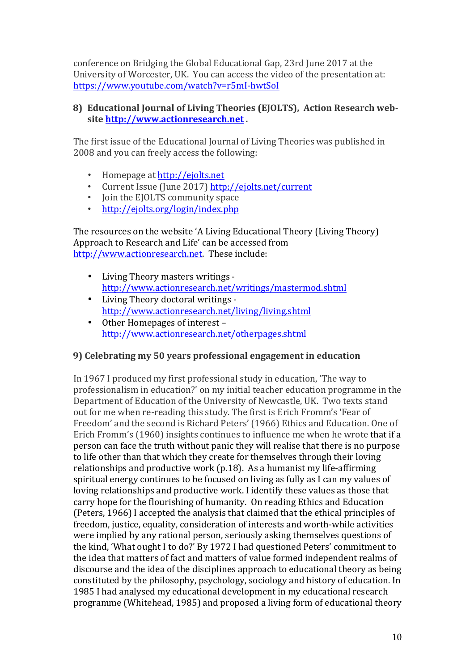conference on Bridging the Global Educational Gap, 23rd June 2017 at the University of Worcester, UK. You can access the video of the presentation at: https://www.youtube.com/watch?v=r5mI-hwtSoI

## 8) Educational Journal of Living Theories (EJOLTS), Action Research web**site http://www.actionresearch.net .**

The first issue of the Educational Journal of Living Theories was published in 2008 and you can freely access the following:

- Homepage at http://ejolts.net
- Current Issue (June 2017) http://ejolts.net/current
- Join the EJOLTS community space
- http://ejolts.org/login/index.php

The resources on the website 'A Living Educational Theory (Living Theory) Approach to Research and Life' can be accessed from http://www.actionresearch.net. These include:

- Living Theory masters writings http://www.actionresearch.net/writings/mastermod.shtml
- Living Theory doctoral writings http://www.actionresearch.net/living/living.shtml
- Other Homepages of interest http://www.actionresearch.net/otherpages.shtml

### **9)** Celebrating my 50 years professional engagement in education

In 1967 I produced my first professional study in education, 'The way to professionalism in education?' on my initial teacher education programme in the Department of Education of the University of Newcastle, UK. Two texts stand out for me when re-reading this study. The first is Erich Fromm's 'Fear of Freedom' and the second is Richard Peters' (1966) Ethics and Education. One of Erich Fromm's (1960) insights continues to influence me when he wrote that if a person can face the truth without panic they will realise that there is no purpose to life other than that which they create for themselves through their loving relationships and productive work  $(p.18)$ . As a humanist my life-affirming spiritual energy continues to be focused on living as fully as I can my values of loving relationships and productive work. I identify these values as those that carry hope for the flourishing of humanity. On reading Ethics and Education (Peters, 1966) I accepted the analysis that claimed that the ethical principles of freedom, justice, equality, consideration of interests and worth-while activities were implied by any rational person, seriously asking themselves questions of the kind, 'What ought I to do?' By 1972 I had questioned Peters' commitment to the idea that matters of fact and matters of value formed independent realms of discourse and the idea of the disciplines approach to educational theory as being constituted by the philosophy, psychology, sociology and history of education. In 1985 I had analysed my educational development in my educational research programme (Whitehead, 1985) and proposed a living form of educational theory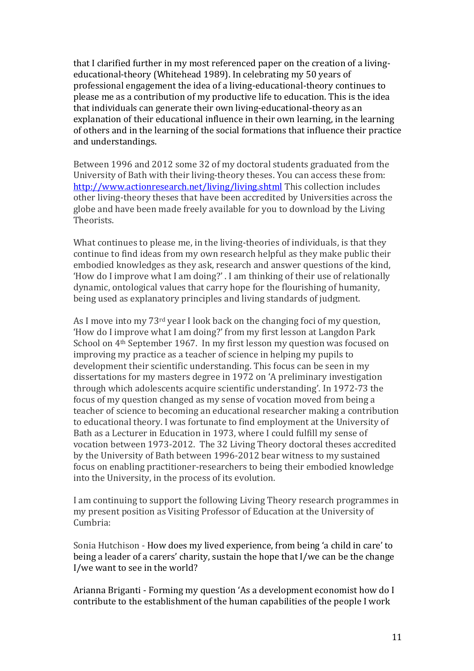that I clarified further in my most referenced paper on the creation of a livingeducational-theory (Whitehead 1989). In celebrating my 50 years of professional engagement the idea of a living-educational-theory continues to please me as a contribution of my productive life to education. This is the idea that individuals can generate their own living-educational-theory as an explanation of their educational influence in their own learning, in the learning of others and in the learning of the social formations that influence their practice and understandings.

Between 1996 and 2012 some 32 of my doctoral students graduated from the University of Bath with their living-theory theses. You can access these from: http://www.actionresearch.net/living/living.shtml This collection includes other living-theory theses that have been accredited by Universities across the globe and have been made freely available for you to download by the Living Theorists.

What continues to please me, in the living-theories of individuals, is that they continue to find ideas from my own research helpful as they make public their embodied knowledges as they ask, research and answer questions of the kind, 'How do I improve what I am doing?'. I am thinking of their use of relationally dynamic, ontological values that carry hope for the flourishing of humanity, being used as explanatory principles and living standards of judgment.

As I move into my  $73<sup>rd</sup>$  year I look back on the changing foci of my question, 'How do I improve what I am doing?' from my first lesson at Langdon Park School on 4<sup>th</sup> September 1967. In my first lesson my question was focused on improving my practice as a teacher of science in helping my pupils to development their scientific understanding. This focus can be seen in my dissertations for my masters degree in 1972 on 'A preliminary investigation through which adolescents acquire scientific understanding'. In 1972-73 the focus of my question changed as my sense of vocation moved from being a teacher of science to becoming an educational researcher making a contribution to educational theory. I was fortunate to find employment at the University of Bath as a Lecturer in Education in 1973, where I could fulfill my sense of vocation between 1973-2012. The 32 Living Theory doctoral theses accredited by the University of Bath between 1996-2012 bear witness to my sustained focus on enabling practitioner-researchers to being their embodied knowledge into the University, in the process of its evolution.

I am continuing to support the following Living Theory research programmes in my present position as Visiting Professor of Education at the University of Cumbria:

Sonia Hutchison - How does my lived experience, from being 'a child in care' to being a leader of a carers' charity, sustain the hope that I/we can be the change I/we want to see in the world?

Arianna Briganti - Forming my question 'As a development economist how do I contribute to the establishment of the human capabilities of the people I work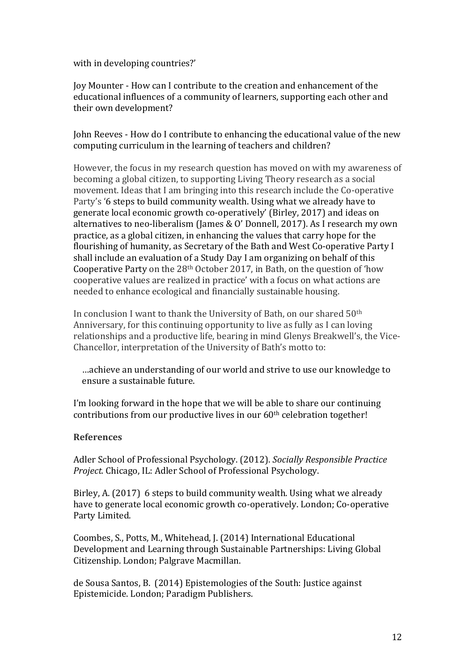with in developing countries?'

Joy Mounter - How can I contribute to the creation and enhancement of the educational influences of a community of learners, supporting each other and their own development?

John Reeves - How do I contribute to enhancing the educational value of the new computing curriculum in the learning of teachers and children?

However, the focus in my research question has moved on with my awareness of becoming a global citizen, to supporting Living Theory research as a social movement. Ideas that I am bringing into this research include the Co-operative Party's '6 steps to build community wealth. Using what we already have to generate local economic growth co-operatively' (Birley, 2017) and ideas on alternatives to neo-liberalism (James & O' Donnell, 2017). As I research my own practice, as a global citizen, in enhancing the values that carry hope for the flourishing of humanity, as Secretary of the Bath and West Co-operative Party I shall include an evaluation of a Study Day I am organizing on behalf of this Cooperative Party on the  $28<sup>th</sup>$  October 2017, in Bath, on the question of 'how cooperative values are realized in practice' with a focus on what actions are needed to enhance ecological and financially sustainable housing.

In conclusion I want to thank the University of Bath, on our shared 50<sup>th</sup> Anniversary, for this continuing opportunity to live as fully as I can loving relationships and a productive life, bearing in mind Glenys Breakwell's, the Vice-Chancellor, interpretation of the University of Bath's motto to:

...achieve an understanding of our world and strive to use our knowledge to ensure a sustainable future.

I'm looking forward in the hope that we will be able to share our continuing contributions from our productive lives in our  $60<sup>th</sup>$  celebration together!

### **References**

Adler School of Professional Psychology. (2012). *Socially Responsible Practice Project.* Chicago, IL: Adler School of Professional Psychology.

Birley, A. (2017)  $\overline{6}$  steps to build community wealth. Using what we already have to generate local economic growth co-operatively. London; Co-operative Party Limited.

Coombes, S., Potts, M., Whitehead, J. (2014) International Educational Development and Learning through Sustainable Partnerships: Living Global Citizenship. London: Palgrave Macmillan.

de Sousa Santos, B. (2014) Epistemologies of the South: Justice against Epistemicide. London; Paradigm Publishers.